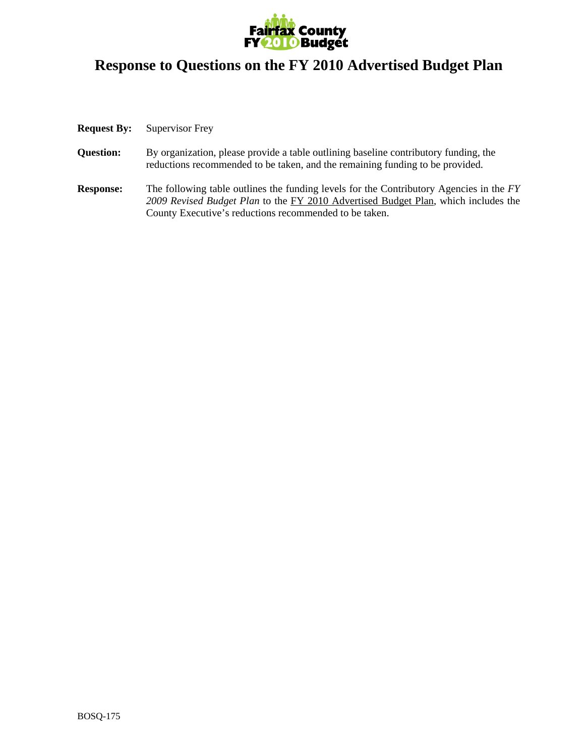

## **Response to Questions on the FY 2010 Advertised Budget Plan**

## **Request By:** Supervisor Frey

- **Question:** By organization, please provide a table outlining baseline contributory funding, the reductions recommended to be taken, and the remaining funding to be provided.
- **Response:** The following table outlines the funding levels for the Contributory Agencies in the *FY 2009 Revised Budget Plan* to the FY 2010 Advertised Budget Plan, which includes the County Executive's reductions recommended to be taken.